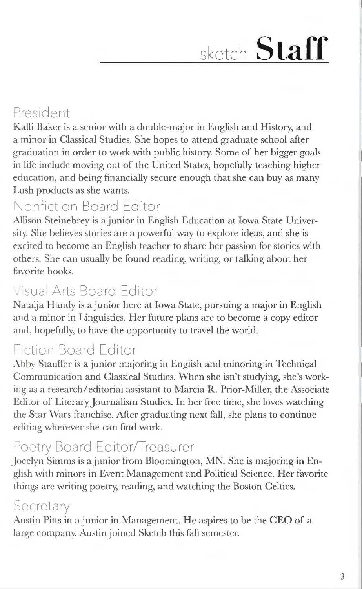# sketch **Staff**

## President

Kalli Baker is a senior with a double-major in English and History, and a minor in Classical Studies. She hopes to attend graduate school after graduation in order to work with public history. Some of her bigger goals in life include moving out of' the United States, hopefully teaching higher education, and being financially secure enough that she can buy as many Lush products as she wants.

### Nonfiction Board Editor

Allison Steinebrey is a junior in English Education at Iowa State University. She believes stories are a powerful way to explore ideas, and she is excited to become an English teacher to share her passion for stories with others. She can usually be found reading, writing, or talking about her favorite books.

### Visual Arts Board Editor

Natalja H andy is a junior here at Iowa State, pursuing a major in English and a minor in Linguistics. Her future plans are to become a copy editor and, hopefully, to have the opportunity to travel the world.

## Fiction Board Editor

Abby Stauffer is a junior majoring in English and minoring in Technical Communication and Classical Studies. When she isn't studying, she's working as a research/editorial assistant to Marcia R. Prior-Miller, the Associate Editor of Literary Journalism Studies. In her free time, she loves watching the Star Wars franchise. After graduating next fall, she plans to continue editing wherever she can find work.

### Poetry Board Editor/Treasurer

Jocelyn Simms is a junior from Bloomington, MN. She is majoring in English with minors in Event Management and Political Science. Her favorite things are writing poetry, reading, and watching the Boston Celtics.

### **Secretary**

Austin Pitts in a junior in Management. He aspires to be the CEO of a large company. Austin joined Sketch this fall semester.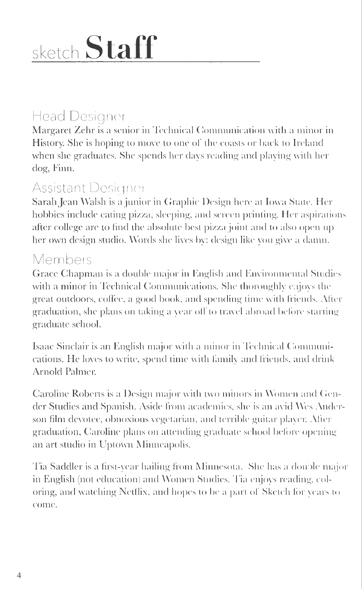# sketch **Staff**

## Head Designer

Margaret Zehr is a senior in Technical Communication with a minor in History. She is hoping to move to one of the coasts or back to Ireland when she graduates. She spends her days reading and playing with her dog, Finn.

### Assistant Designer

Sarah Jean Walsh is a junior in Graphic Design here at Iowa State. Her hobbies include eating pizza, sleeping, and screen printing. Her aspirations after college are to find the absolute best pizza joint and to also open up her own design studio. Words she lives by: design like you give a damn.

#### Members

Grace Chapman is a double major in English and Environmental Studies with a minor in Technical Communications. She thoroughly enjoys the great outdoors, coffee, a good book, and spending time with friends. After graduation, she plans on taking a year off to travel abroad before starting graduate school.

Isaac Sinclair is an English major with a minor in Technical Communications. He loves to write, spend time with family and friends, and drink Arnold Palmer.

Caroline Roberts is a Design major with two minors in \\!omen and Gender Studies and Spanish. Aside from academics, she is an avid Wes Anderson film devotee, obnoxious vegetarian, and terrible guitar player. After graduation, Caroline plans on attending graduate school before opening an art studio in Uptown Minneapolis.

Tia Saddler is a first-year hailing from Minnesota. She has a double major in English (not education) and Women Studies. Tia enjoys reading, coloring, and watching Netflix, and hopes to be a part of Sketch for years to come.